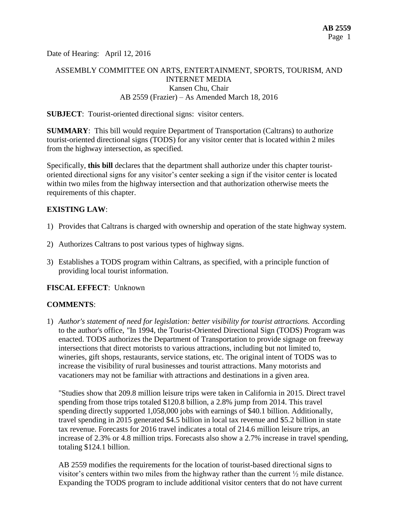Date of Hearing: April 12, 2016

# ASSEMBLY COMMITTEE ON ARTS, ENTERTAINMENT, SPORTS, TOURISM, AND INTERNET MEDIA Kansen Chu, Chair AB 2559 (Frazier) – As Amended March 18, 2016

#### **SUBJECT**: Tourist-oriented directional signs: visitor centers.

**SUMMARY**: This bill would require Department of Transportation (Caltrans) to authorize tourist-oriented directional signs (TODS) for any visitor center that is located within 2 miles from the highway intersection, as specified.

Specifically, **this bill** declares that the department shall authorize under this chapter touristoriented directional signs for any visitor's center seeking a sign if the visitor center is located within two miles from the highway intersection and that authorization otherwise meets the requirements of this chapter.

#### **EXISTING LAW**:

- 1) Provides that Caltrans is charged with ownership and operation of the state highway system.
- 2) Authorizes Caltrans to post various types of highway signs.
- 3) Establishes a TODS program within Caltrans, as specified, with a principle function of providing local tourist information.

## **FISCAL EFFECT**: Unknown

## **COMMENTS**:

1) *Author's statement of need for legislation: better visibility for tourist attractions.* According to the author's office, *"*In 1994, the Tourist-Oriented Directional Sign (TODS) Program was enacted. TODS authorizes the Department of Transportation to provide signage on freeway intersections that direct motorists to various attractions, including but not limited to, wineries, gift shops, restaurants, service stations, etc. The original intent of TODS was to increase the visibility of rural businesses and tourist attractions. Many motorists and vacationers may not be familiar with attractions and destinations in a given area.

"Studies show that 209.8 million leisure trips were taken in California in 2015. Direct travel spending from those trips totaled \$120.8 billion, a 2.8% jump from 2014. This travel spending directly supported 1,058,000 jobs with earnings of \$40.1 billion. Additionally, travel spending in 2015 generated \$4.5 billion in local tax revenue and \$5.2 billion in state tax revenue. Forecasts for 2016 travel indicates a total of 214.6 million leisure trips, an increase of 2.3% or 4.8 million trips. Forecasts also show a 2.7% increase in travel spending, totaling \$124.1 billion.

AB 2559 modifies the requirements for the location of tourist-based directional signs to visitor's centers within two miles from the highway rather than the current ½ mile distance. Expanding the TODS program to include additional visitor centers that do not have current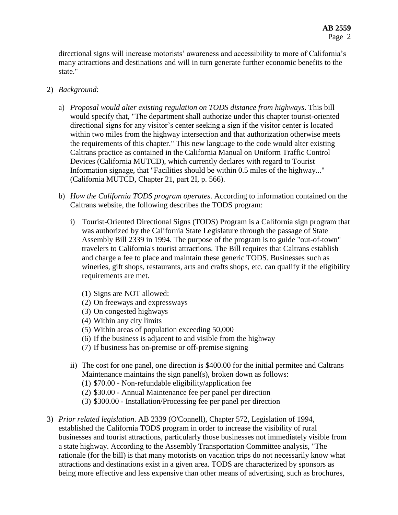directional signs will increase motorists' awareness and accessibility to more of California's many attractions and destinations and will in turn generate further economic benefits to the state."

## 2) *Background*:

- a) *Proposal would alter existing regulation on TODS distance from highways*. This bill would specify that, "The department shall authorize under this chapter tourist-oriented directional signs for any visitor's center seeking a sign if the visitor center is located within two miles from the highway intersection and that authorization otherwise meets the requirements of this chapter." This new language to the code would alter existing Caltrans practice as contained in the California Manual on Uniform Traffic Control Devices (California MUTCD), which currently declares with regard to Tourist Information signage, that "Facilities should be within 0.5 miles of the highway..." (California MUTCD, Chapter 21, part 2I, p. 566).
- b) *How the California TODS program operates*. According to information contained on the Caltrans website, the following describes the TODS program:
	- i) Tourist-Oriented Directional Signs (TODS) Program is a California sign program that was authorized by the California State Legislature through the passage of State Assembly Bill 2339 in 1994. The purpose of the program is to guide "out-of-town" travelers to California's tourist attractions. The Bill requires that Caltrans establish and charge a fee to place and maintain these generic TODS. Businesses such as wineries, gift shops, restaurants, arts and crafts shops, etc. can qualify if the eligibility requirements are met.
		- (1) Signs are NOT allowed:
		- (2) On freeways and expressways
		- (3) On congested highways
		- (4) Within any city limits
		- (5) Within areas of population exceeding 50,000
		- (6) If the business is adjacent to and visible from the highway
		- (7) If business has on-premise or off-premise signing
	- ii) The cost for one panel, one direction is \$400.00 for the initial permitee and Caltrans Maintenance maintains the sign panel(s), broken down as follows: (1) \$70.00 - Non-refundable eligibility/application fee
		- (2) \$30.00 Annual Maintenance fee per panel per direction
		- (3) \$300.00 Installation/Processing fee per panel per direction
- 3) *Prior related legislation*. AB 2339 (O'Connell), Chapter 572, Legislation of 1994, established the California TODS program in order to increase the visibility of rural businesses and tourist attractions, particularly those businesses not immediately visible from a state highway. According to the Assembly Transportation Committee analysis, "The rationale (for the bill) is that many motorists on vacation trips do not necessarily know what attractions and destinations exist in a given area. TODS are characterized by sponsors as being more effective and less expensive than other means of advertising, such as brochures,